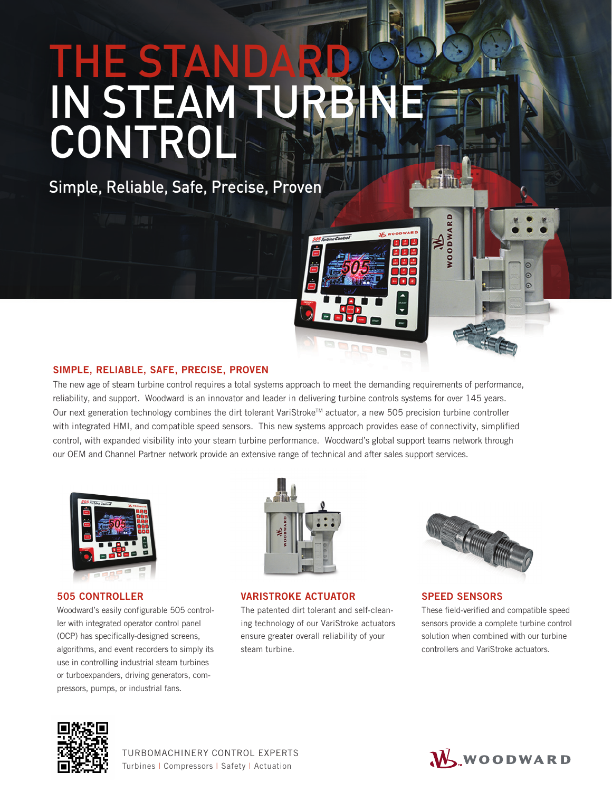# THE STAN IN STEAM CONTROL

Simple, Reliable, Safe, Precise, Proven

# SIMPLE, RELIABLE, SAFE, PRECISE, PROVEN

The new age of steam turbine control requires a total systems approach to meet the demanding requirements of performance, reliability, and support. Woodward is an innovator and leader in delivering turbine controls systems for over 145 years. Our next generation technology combines the dirt tolerant VariStroke™ actuator, a new 505 precision turbine controller with integrated HMI, and compatible speed sensors. This new systems approach provides ease of connectivity, simplified control, with expanded visibility into your steam turbine performance. Woodward's global support teams network through our OEM and Channel Partner network provide an extensive range of technical and after sales support services.



# 505 CONTROLLER

Woodward's easily configurable 505 controller with integrated operator control panel (OCP) has specifically-designed screens, algorithms, and event recorders to simply its use in controlling industrial steam turbines or turboexpanders, driving generators, compressors, pumps, or industrial fans.



# VARISTROKE ACTUATOR

The patented dirt tolerant and self-cleaning technology of our VariStroke actuators ensure greater overall reliability of your steam turbine.



# SPEED SENSORS

WOODWAR

 $\overline{c}$ 

88 B

These field-verified and compatible speed sensors provide a complete turbine control solution when combined with our turbine controllers and VariStroke actuators.